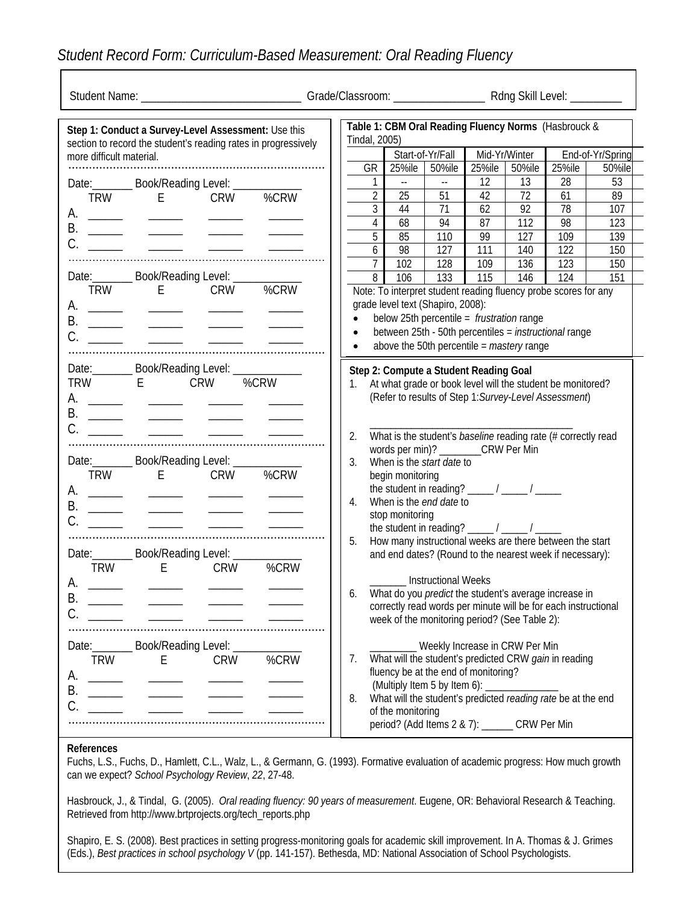## *Student Record Form: Curriculum-Based Measurement: Oral Reading Fluency*

| Table 1: CBM Oral Reading Fluency Norms (Hasbrouck &<br>Step 1: Conduct a Survey-Level Assessment: Use this<br>Tindal, 2005)<br>section to record the student's reading rates in progressively |                                                                                                                                                                                                                                                                                                                                                                                                                                                                                                  |                                                                                                                                                                                                                                                                                                                                                                                                                                                  |      |                                     |                                                                       |                  |                                                                                                                                            |          |                                                                                                                                                                                             |                  |  |
|------------------------------------------------------------------------------------------------------------------------------------------------------------------------------------------------|--------------------------------------------------------------------------------------------------------------------------------------------------------------------------------------------------------------------------------------------------------------------------------------------------------------------------------------------------------------------------------------------------------------------------------------------------------------------------------------------------|--------------------------------------------------------------------------------------------------------------------------------------------------------------------------------------------------------------------------------------------------------------------------------------------------------------------------------------------------------------------------------------------------------------------------------------------------|------|-------------------------------------|-----------------------------------------------------------------------|------------------|--------------------------------------------------------------------------------------------------------------------------------------------|----------|---------------------------------------------------------------------------------------------------------------------------------------------------------------------------------------------|------------------|--|
| more difficult material.                                                                                                                                                                       |                                                                                                                                                                                                                                                                                                                                                                                                                                                                                                  |                                                                                                                                                                                                                                                                                                                                                                                                                                                  |      |                                     |                                                                       | Start-of-Yr/Fall | Mid-Yr/Winter                                                                                                                              |          |                                                                                                                                                                                             | End-of-Yr/Spring |  |
|                                                                                                                                                                                                |                                                                                                                                                                                                                                                                                                                                                                                                                                                                                                  |                                                                                                                                                                                                                                                                                                                                                                                                                                                  |      | GR I                                | 25%ile 50%ile                                                         |                  | 25%ile                                                                                                                                     | 50%ile   | 25%ile                                                                                                                                                                                      | 50%ile           |  |
|                                                                                                                                                                                                |                                                                                                                                                                                                                                                                                                                                                                                                                                                                                                  | Date: _________ Book/Reading Level: _____                                                                                                                                                                                                                                                                                                                                                                                                        |      | $\mathbf{1}$                        | <b>State State</b>                                                    | $\sim$           | 12                                                                                                                                         | 13       | 28                                                                                                                                                                                          | 53               |  |
|                                                                                                                                                                                                |                                                                                                                                                                                                                                                                                                                                                                                                                                                                                                  | TRW E CRW                                                                                                                                                                                                                                                                                                                                                                                                                                        | %CRW | 2 <sup>1</sup>                      | 25                                                                    | 51               | 42                                                                                                                                         | 72       | 61                                                                                                                                                                                          | 89               |  |
|                                                                                                                                                                                                |                                                                                                                                                                                                                                                                                                                                                                                                                                                                                                  |                                                                                                                                                                                                                                                                                                                                                                                                                                                  |      | 3 <sup>1</sup>                      | 44                                                                    | 71               | 62                                                                                                                                         | 92       | 78                                                                                                                                                                                          | 107              |  |
|                                                                                                                                                                                                | <u> The Common State State State State State State State State State State State State State State State State State State State State State State State State State State State State State State State State State State State</u>                                                                                                                                                                                                                                                             |                                                                                                                                                                                                                                                                                                                                                                                                                                                  |      | $\overline{4}$                      | 68                                                                    | 94               |                                                                                                                                            | 87   112 | 98                                                                                                                                                                                          | 123              |  |
|                                                                                                                                                                                                |                                                                                                                                                                                                                                                                                                                                                                                                                                                                                                  |                                                                                                                                                                                                                                                                                                                                                                                                                                                  |      | 5                                   | 85                                                                    | 110              | 99                                                                                                                                         | 127      | 109                                                                                                                                                                                         | 139              |  |
|                                                                                                                                                                                                |                                                                                                                                                                                                                                                                                                                                                                                                                                                                                                  |                                                                                                                                                                                                                                                                                                                                                                                                                                                  |      | 6 <sup>1</sup>                      | 98                                                                    | 127              | 111                                                                                                                                        | 140      | 122                                                                                                                                                                                         | 150              |  |
|                                                                                                                                                                                                |                                                                                                                                                                                                                                                                                                                                                                                                                                                                                                  |                                                                                                                                                                                                                                                                                                                                                                                                                                                  |      | $\overline{7}$                      | 102                                                                   | 128              | 109                                                                                                                                        | 136      | 123                                                                                                                                                                                         | 150              |  |
|                                                                                                                                                                                                |                                                                                                                                                                                                                                                                                                                                                                                                                                                                                                  | Date:__________ Book/Reading Level: _____                                                                                                                                                                                                                                                                                                                                                                                                        |      | $\infty$                            | 106                                                                   | 133              | 115                                                                                                                                        | 146      | 124                                                                                                                                                                                         | 151              |  |
|                                                                                                                                                                                                | $\begin{tabular}{ll} \multicolumn{3}{c} {\textbf{1}} & \multicolumn{3}{c} {\textbf{1}} & \multicolumn{3}{c} {\textbf{1}} \\ \multicolumn{3}{c} {\textbf{1}} & \multicolumn{3}{c} {\textbf{1}} & \multicolumn{3}{c} {\textbf{1}} \\ \multicolumn{3}{c} {\textbf{1}} & \multicolumn{3}{c} {\textbf{1}} & \multicolumn{3}{c} {\textbf{1}} \\ \multicolumn{3}{c} {\textbf{1}} & \multicolumn{3}{c} {\textbf{1}} & \multicolumn{3}{c} {\textbf{1}} \\ \multicolumn{3}{c} {\textbf{1}} & \multicolumn$ | TRW E CRW                                                                                                                                                                                                                                                                                                                                                                                                                                        | %CRW | $\bullet$<br>$\bullet$<br>$\bullet$ | grade level text (Shapiro, 2008):                                     |                  | below 25th percentile = frustration range<br>above the 50th percentile = mastery range                                                     |          | Note: To interpret student reading fluency probe scores for any<br>between 25th - 50th percentiles = instructional range                                                                    |                  |  |
|                                                                                                                                                                                                | TRW E CRW                                                                                                                                                                                                                                                                                                                                                                                                                                                                                        | Date: Book/Reading Level: ________                                                                                                                                                                                                                                                                                                                                                                                                               | %CRW | 1.<br>2.                            |                                                                       |                  | Step 2: Compute a Student Reading Goal                                                                                                     |          | At what grade or book level will the student be monitored?<br>(Refer to results of Step 1: Survey-Level Assessment)<br>What is the student's <i>baseline</i> reading rate (# correctly read |                  |  |
| Date: Book/Reading Level: __________                                                                                                                                                           |                                                                                                                                                                                                                                                                                                                                                                                                                                                                                                  |                                                                                                                                                                                                                                                                                                                                                                                                                                                  |      | 3 <sub>1</sub>                      | When is the <i>start date</i> to                                      |                  | words per min)? _______CRW Per Min                                                                                                         |          |                                                                                                                                                                                             |                  |  |
|                                                                                                                                                                                                | TRW E CRW                                                                                                                                                                                                                                                                                                                                                                                                                                                                                        |                                                                                                                                                                                                                                                                                                                                                                                                                                                  | %CRW | 4.<br>5.                            | begin monitoring<br>When is the <i>end date</i> to<br>stop monitoring |                  | the student in reading? $\frac{1}{\sqrt{2}}$ / ________ / _______<br>the student in reading? $\frac{1}{2}$ / $\frac{1}{2}$ / $\frac{1}{2}$ |          | How many instructional weeks are there between the start                                                                                                                                    |                  |  |
|                                                                                                                                                                                                | Date: ________ Book/Reading Level: _____                                                                                                                                                                                                                                                                                                                                                                                                                                                         |                                                                                                                                                                                                                                                                                                                                                                                                                                                  |      |                                     |                                                                       |                  | and end dates? (Round to the nearest week if necessary):                                                                                   |          |                                                                                                                                                                                             |                  |  |
| <b>TRW</b><br>A.                                                                                                                                                                               | E                                                                                                                                                                                                                                                                                                                                                                                                                                                                                                | <b>CRW</b><br>$\begin{array}{ccccccccc} \textbf{1} & \textbf{1} & \textbf{1} & \textbf{1} & \textbf{1} & \textbf{1} & \textbf{1} & \textbf{1} & \textbf{1} & \textbf{1} & \textbf{1} & \textbf{1} & \textbf{1} & \textbf{1} & \textbf{1} & \textbf{1} & \textbf{1} & \textbf{1} & \textbf{1} & \textbf{1} & \textbf{1} & \textbf{1} & \textbf{1} & \textbf{1} & \textbf{1} & \textbf{1} & \textbf{1} & \textbf{1} & \textbf{1} & \textbf{1} & \$ | %CRW | 6.                                  | <b>Instructional Weeks</b>                                            |                  | week of the monitoring period? (See Table 2):                                                                                              |          | What do you <i>predict</i> the student's average increase in<br>correctly read words per minute will be for each instructional                                                              |                  |  |
| TRW<br>А.<br>$\overline{\phantom{a}}$                                                                                                                                                          | $E = 1$                                                                                                                                                                                                                                                                                                                                                                                                                                                                                          | Date:__________ Book/Reading Level: ____<br><b>CRW</b>                                                                                                                                                                                                                                                                                                                                                                                           | %CRW | 7.<br>8.                            | (Multiply Item 5 by Item 6):<br>of the monitoring                     |                  | ____ Weekly Increase in CRW Per Min<br>fluency be at the end of monitoring?<br>period? (Add Items 2 & 7): ______ CRW Per Min               |          | What will the student's predicted CRW gain in reading<br>What will the student's predicted reading rate be at the end                                                                       |                  |  |

## **References**

Fuchs, L.S., Fuchs, D., Hamlett, C.L., Walz, L., & Germann, G. (1993). Formative evaluation of academic progress: How much growth can we expect? *School Psychology Review*, *22*, 27-48.

Hasbrouck, J., & Tindal, G. (2005). *Oral reading fluency: 90 years of measurement*. Eugene, OR: Behavioral Research & Teaching. Retrieved from http://www.brtprojects.org/tech\_reports.php

Shapiro, E. S. (2008). Best practices in setting progress-monitoring goals for academic skill improvement. In A. Thomas & J. Grimes (Eds.), *Best practices in school psychology V* (pp. 141-157). Bethesda, MD: National Association of School Psychologists.